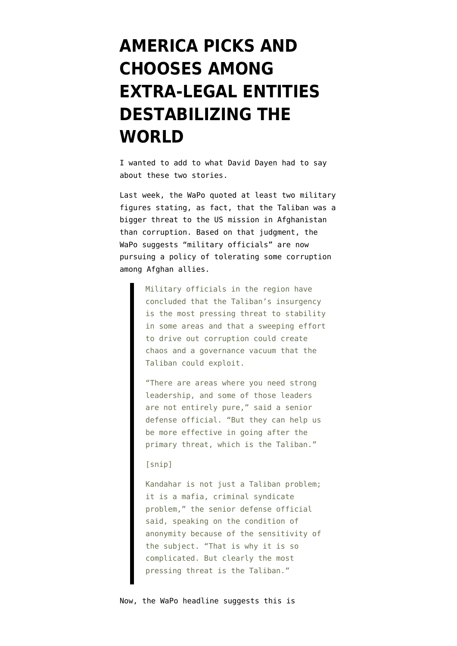## **[AMERICA PICKS AND](https://www.emptywheel.net/2010/09/07/america-picks-and-chooses-among-extra-legal-entities-destabilizing-the-world/) [CHOOSES AMONG](https://www.emptywheel.net/2010/09/07/america-picks-and-chooses-among-extra-legal-entities-destabilizing-the-world/) [EXTRA-LEGAL ENTITIES](https://www.emptywheel.net/2010/09/07/america-picks-and-chooses-among-extra-legal-entities-destabilizing-the-world/) [DESTABILIZING THE](https://www.emptywheel.net/2010/09/07/america-picks-and-chooses-among-extra-legal-entities-destabilizing-the-world/) [WORLD](https://www.emptywheel.net/2010/09/07/america-picks-and-chooses-among-extra-legal-entities-destabilizing-the-world/)**

I wanted to add to what [David Dayen had to say](http://news.firedoglake.com/2010/09/06/kabul-bank-mess-shows-error-of-trusting-corrupt-officials-in-afghanistan/) about these [two](http://www.washingtonpost.com/wp-dyn/content/article/2010/09/03/AR2010090305545_pf.html) [stories.](http://www.nytimes.com/2010/09/05/weekinreview/05filkins.html?_r=1&hp=&pagewanted=all)

Last week, the WaPo [quoted](http://www.washingtonpost.com/wp-dyn/content/article/2010/09/03/AR2010090305545_pf.html) at least two military figures stating, as fact, that the Taliban was a bigger threat to the US mission in Afghanistan than corruption. Based on that judgment, the WaPo suggests "military officials" are now pursuing a policy of tolerating some corruption among Afghan allies.

> Military officials in the region have concluded that the Taliban's insurgency is the most pressing threat to stability in some areas and that a sweeping effort to drive out corruption could create chaos and a governance vacuum that the Taliban could exploit.

"There are areas where you need strong leadership, and some of those leaders are not entirely pure," said a senior defense official. "But they can help us be more effective in going after the primary threat, which is the Taliban."

## [snip]

Kandahar is not just a Taliban problem; it is a mafia, criminal syndicate problem," the senior defense official said, speaking on the condition of anonymity because of the sensitivity of the subject. "That is why it is so complicated. But clearly the most pressing threat is the Taliban."

Now, the WaPo headline suggests this is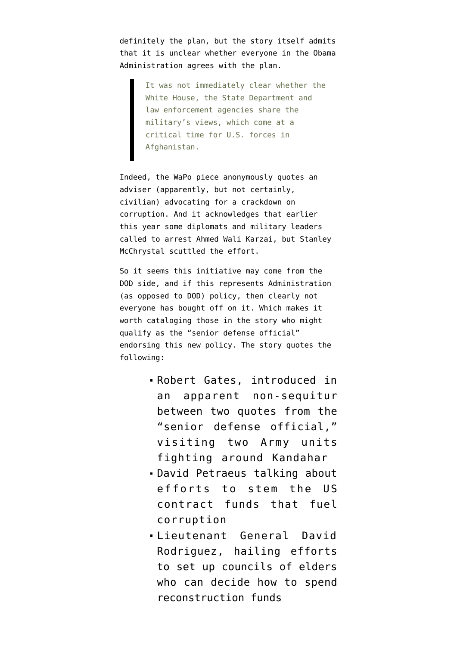definitely the plan, but the story itself admits that it is unclear whether everyone in the Obama Administration agrees with the plan.

> It was not immediately clear whether the White House, the State Department and law enforcement agencies share the military's views, which come at a critical time for U.S. forces in Afghanistan.

Indeed, the WaPo piece anonymously quotes an adviser (apparently, but not certainly, civilian) advocating for a crackdown on corruption. And it acknowledges that earlier this year some diplomats and military leaders called to arrest Ahmed Wali Karzai, but Stanley McChrystal scuttled the effort.

So it seems this initiative may come from the DOD side, and if this represents Administration (as opposed to DOD) policy, then clearly not everyone has bought off on it. Which makes it worth cataloging those in the story who might qualify as the "senior defense official" endorsing this new policy. The story quotes the following:

- Robert Gates, introduced in an apparent non-sequitur between two quotes from the "senior defense official," visiting two Army units fighting around Kandahar
- David Petraeus talking about efforts to stem the US contract funds that fuel corruption
- Lieutenant General David Rodriguez, hailing efforts to set up councils of elders who can decide how to spend reconstruction funds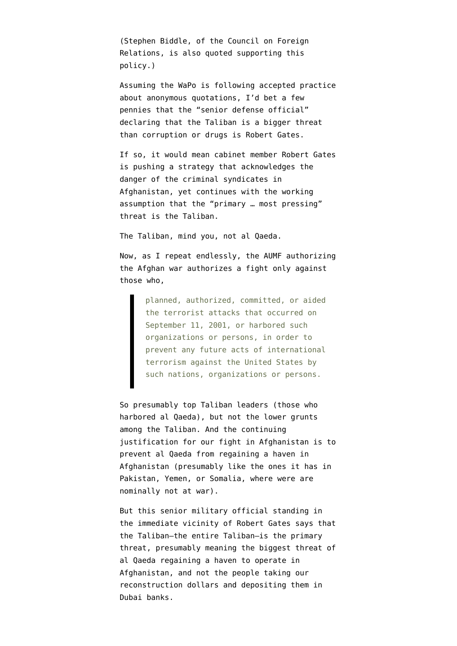(Stephen Biddle, of the Council on Foreign Relations, is also quoted supporting this policy.)

Assuming the WaPo is following accepted practice about anonymous quotations, I'd bet a few pennies that the "senior defense official" declaring that the Taliban is a bigger threat than corruption or drugs is Robert Gates.

If so, it would mean cabinet member Robert Gates is pushing a strategy that acknowledges the danger of the criminal syndicates in Afghanistan, yet continues with the working assumption that the "primary … most pressing" threat is the Taliban.

The Taliban, mind you, not al Qaeda.

Now, as I repeat endlessly, the AUMF authorizing the Afghan war [authorizes](http://news.findlaw.com/cnn/docs/terrorism/sjres23.enr.html) a fight only against those who,

> planned, authorized, committed, or aided the terrorist attacks that occurred on September 11, 2001, or harbored such organizations or persons, in order to prevent any future acts of international terrorism against the United States by such nations, organizations or persons.

So presumably top Taliban leaders (those who harbored al Qaeda), but not the lower grunts among the Taliban. And the continuing justification for our fight in Afghanistan is to prevent al Qaeda from regaining a haven in Afghanistan (presumably like the ones it has in Pakistan, Yemen, or Somalia, where were are nominally not at war).

But this senior military official standing in the immediate vicinity of Robert Gates says that the Taliban–the entire Taliban–is the primary threat, presumably meaning the biggest threat of al Qaeda regaining a haven to operate in Afghanistan, and not the people taking our reconstruction dollars and depositing them in Dubai banks.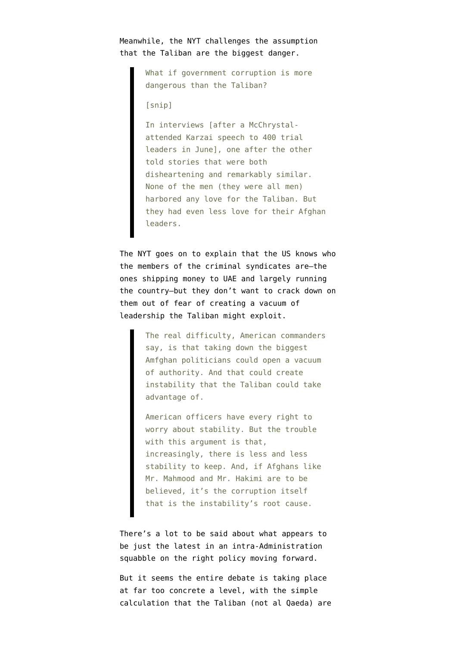Meanwhile, the NYT [challenges](http://www.nytimes.com/2010/09/05/weekinreview/05filkins.html?_r=1&hp=&pagewanted=all) the assumption that the Taliban are the biggest danger.

> What if government corruption is more dangerous than the Taliban?

[snip]

In interviews [after a McChrystalattended Karzai speech to 400 trial leaders in June], one after the other told stories that were both disheartening and remarkably similar. None of the men (they were all men) harbored any love for the Taliban. But they had even less love for their Afghan leaders.

The NYT goes on to explain that the US knows who the members of the criminal syndicates are–the ones shipping money to UAE and largely running the country–but they don't want to crack down on them out of fear of creating a vacuum of leadership the Taliban might exploit.

> The real difficulty, American commanders say, is that taking down the biggest Amfghan politicians could open a vacuum of authority. And that could create instability that the Taliban could take advantage of.

American officers have every right to worry about stability. But the trouble with this argument is that, increasingly, there is less and less stability to keep. And, if Afghans like Mr. Mahmood and Mr. Hakimi are to be believed, it's the corruption itself that is the instability's root cause.

There's a lot to be said about what appears to be just the latest in an intra-Administration squabble on the right policy moving forward.

But it seems the entire debate is taking place at far too concrete a level, with the simple calculation that the Taliban (not al Qaeda) are